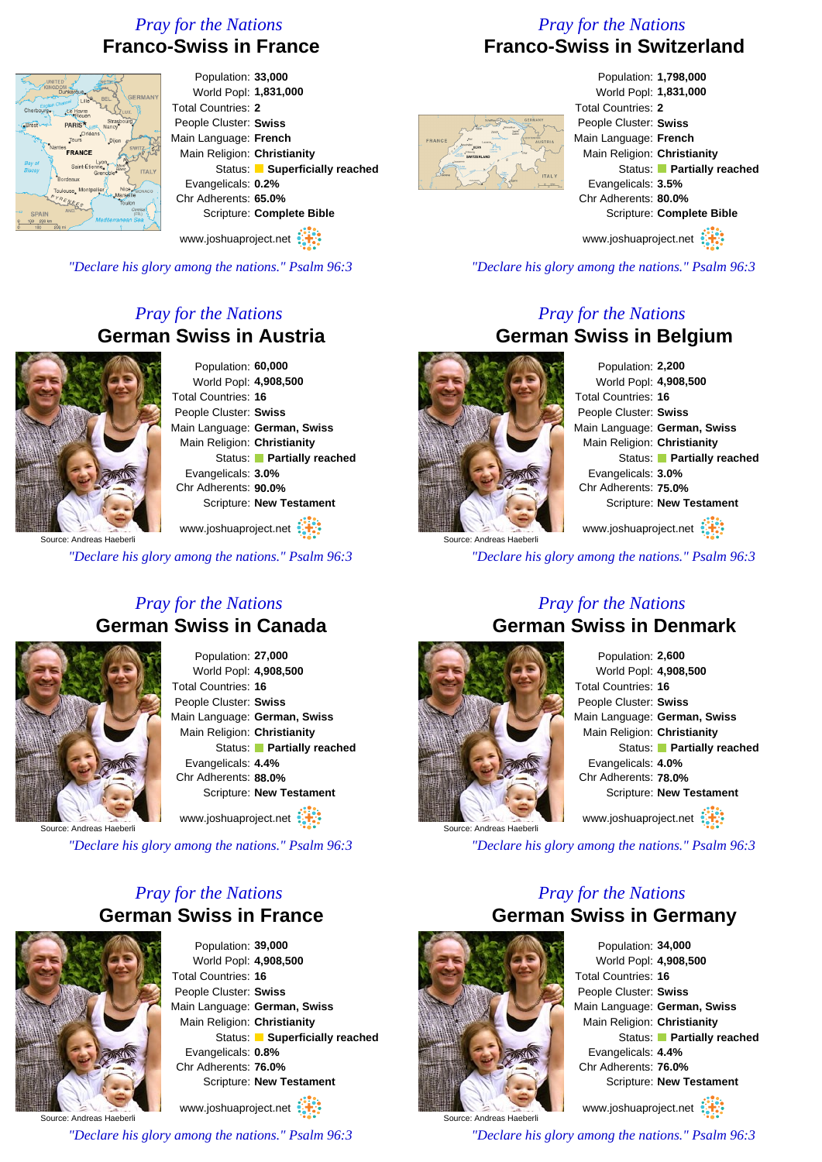# *Pray for the Nations* **Franco-Swiss in France**

# *Pray for the Nations* **Franco-Swiss in Switzerland**



Population: **33,000** World Popl: **1,831,000** Total Countries: **2** People Cluster: **Swiss** Main Language: **French** Main Religion: **Christianity** Status: **Superficially reached** Evangelicals: **0.2%** Chr Adherents: **65.0%** Scripture: **Complete Bible**

www.joshuaproject.net

*"Declare his glory among the nations." Psalm 96:3*

# *Pray for the Nations* **German Swiss in Austria**



Population: **60,000** World Popl: **4,908,500** Total Countries: **16** People Cluster: **Swiss** Main Language: **German, Swiss** Main Religion: **Christianity** Status: **Partially reached** Evangelicals: **3.0%** Chr Adherents: **90.0%** Scripture: **New Testament**

www.joshuaproject.net :

*"Declare his glory among the nations." Psalm 96:3*

### *Pray for the Nations* **German Swiss in Canada**



Population: **27,000** World Popl: **4,908,500** Total Countries: **16** People Cluster: **Swiss** Main Language: **German, Swiss** Main Religion: **Christianity** Status: **Partially reached** Evangelicals: **4.4%** Chr Adherents: **88.0%** Scripture: **New Testament**

www.joshuaproject.net

*"Declare his glory among the nations." Psalm 96:3*

# *Pray for the Nations* **German Swiss in France**



Population: **39,000** World Popl: **4,908,500** Total Countries: **16** People Cluster: **Swiss** Main Language: **German, Swiss** Main Religion: **Christianity** Status: **Superficially reached** Evangelicals: **0.8%** Chr Adherents: **76.0%** Scripture: **New Testament**

Source: Andreas Haeberli www.joshuaproject.net *"Declare his glory among the nations." Psalm 96:3*



Population: **1,798,000** World Popl: **1,831,000** Total Countries: **2** People Cluster: **Swiss** Main Language: **French** Main Religion: **Christianity** Status: **Partially reached** Evangelicals: **3.5%** Chr Adherents: **80.0%** Scripture: **Complete Bible** www.joshuaproject.net

*"Declare his glory among the nations." Psalm 96:3*

## *Pray for the Nations* **German Swiss in Belgium**

Source: Andreas Haeberli

Population: **2,200** World Popl: **4,908,500** Total Countries: **16** People Cluster: **Swiss** Main Language: **German, Swiss** Main Religion: **Christianity** Status: **Partially reached** Evangelicals: **3.0%** Chr Adherents: **75.0%** Scripture: **New Testament** www.joshuaproject.net

*"Declare his glory among the nations." Psalm 96:3*

## *Pray for the Nations* **German Swiss in Denmark**



Population: **2,600** World Popl: **4,908,500** Total Countries: **16** People Cluster: **Swiss** Main Language: **German, Swiss** Main Religion: **Christianity** Status: **Partially reached** Evangelicals: **4.0%** Chr Adherents: **78.0%** Scripture: **New Testament** www.joshuaproject.net

*"Declare his glory among the nations." Psalm 96:3*

## *Pray for the Nations* **German Swiss in Germany**



Population: **34,000** World Popl: **4,908,500** Total Countries: **16** People Cluster: **Swiss** Main Language: **German, Swiss** Main Religion: **Christianity** Status: **Partially reached** Evangelicals: **4.4%** Chr Adherents: **76.0%** Scripture: **New Testament**

www.joshuaproject.net

*"Declare his glory among the nations." Psalm 96:3*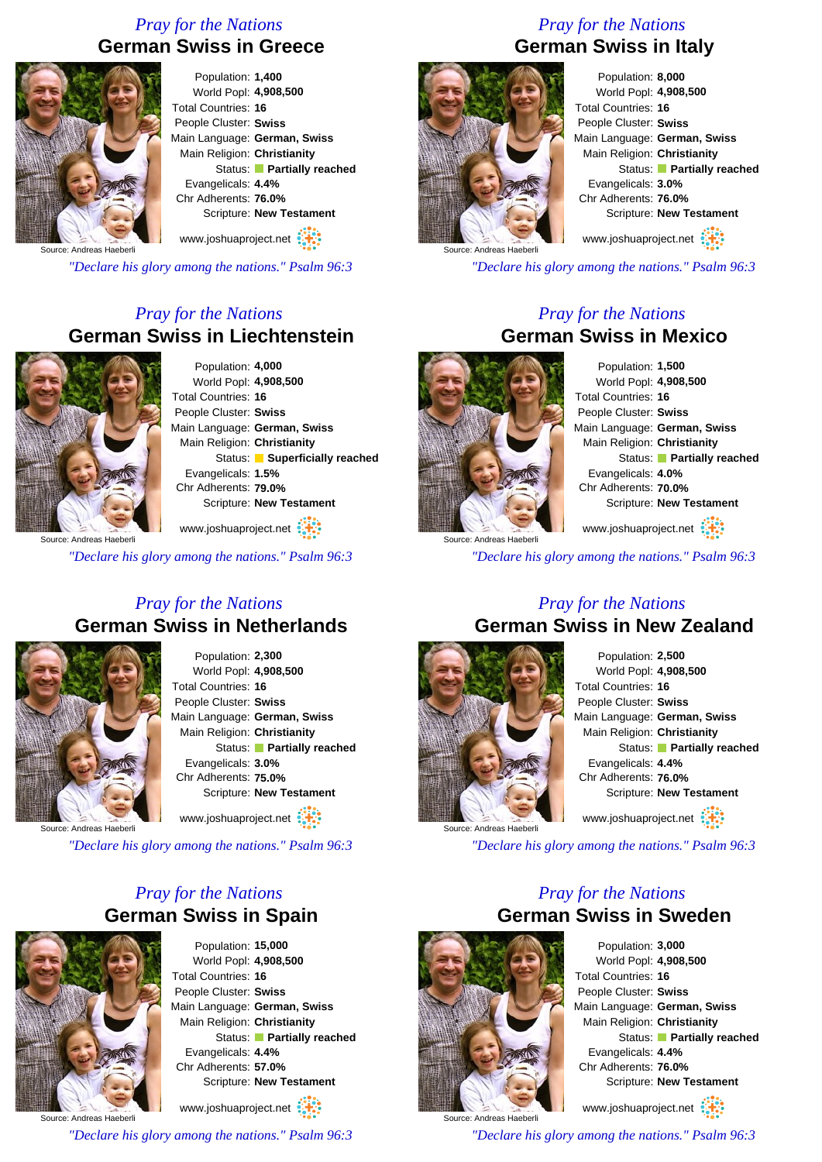# *Pray for the Nations* **German Swiss in Greece**



Population: **1,400** World Popl: **4,908,500** Total Countries: **16** People Cluster: **Swiss** Main Language: **German, Swiss** Main Religion: **Christianity** Status: **Partially reached** Evangelicals: **4.4%** Chr Adherents: **76.0%** Scripture: **New Testament**

www.joshuaproject.net

Source: Andreas Haeberli

*"Declare his glory among the nations." Psalm 96:3*

# *Pray for the Nations* **German Swiss in Liechtenstein**



Population: **4,000** World Popl: **4,908,500** Total Countries: **16** People Cluster: **Swiss** Main Language: **German, Swiss** Main Religion: **Christianity** Status: **Superficially reached** Evangelicals: **1.5%** Chr Adherents: **79.0%** Scripture: **New Testament**

www.joshuaproject.net :

*"Declare his glory among the nations." Psalm 96:3*

## *Pray for the Nations* **German Swiss in Netherlands**



Population: **2,300** World Popl: **4,908,500** Total Countries: **16** People Cluster: **Swiss** Main Language: **German, Swiss** Main Religion: **Christianity** Status: **Partially reached** Evangelicals: **3.0%** Chr Adherents: **75.0%** Scripture: **New Testament**

www.joshuaproject.net

*"Declare his glory among the nations." Psalm 96:3*

# *Pray for the Nations* **German Swiss in Spain**



Population: **15,000** World Popl: **4,908,500** Total Countries: **16** People Cluster: **Swiss** Main Language: **German, Swiss** Main Religion: **Christianity** Status: **Partially reached** Evangelicals: **4.4%** Chr Adherents: **57.0%** Scripture: **New Testament**

www.joshuaproject.net

*"Declare his glory among the nations." Psalm 96:3*

# *Pray for the Nations* **German Swiss in Italy**



Population: **8,000** World Popl: **4,908,500** Total Countries: **16** People Cluster: **Swiss** Main Language: **German, Swiss** Main Religion: **Christianity** Status: **Partially reached** Evangelicals: **3.0%** Chr Adherents: **76.0%** Scripture: **New Testament**

www.joshuaproject.net

*"Declare his glory among the nations." Psalm 96:3*

### *Pray for the Nations* **German Swiss in Mexico**



Population: **1,500** World Popl: **4,908,500** Total Countries: **16** People Cluster: **Swiss** Main Language: **German, Swiss** Main Religion: **Christianity** Status: **Partially reached** Evangelicals: **4.0%** Chr Adherents: **70.0%** Scripture: **New Testament** www.joshuaproject.net

Source: Andreas Haeberli

*"Declare his glory among the nations." Psalm 96:3*

#### *Pray for the Nations* **German Swiss in New Zealand**



Population: **2,500** World Popl: **4,908,500** Total Countries: **16** People Cluster: **Swiss** Main Language: **German, Swiss** Main Religion: **Christianity** Status: **Partially reached** Evangelicals: **4.4%** Chr Adherents: **76.0%** Scripture: **New Testament** www.joshuaproject.net

*"Declare his glory among the nations." Psalm 96:3*

## *Pray for the Nations* **German Swiss in Sweden**



Population: **3,000** World Popl: **4,908,500** Total Countries: **16** People Cluster: **Swiss** Main Language: **German, Swiss** Main Religion: **Christianity** Status: **Partially reached** Evangelicals: **4.4%** Chr Adherents: **76.0%** Scripture: **New Testament** www.joshuaproject.net

*"Declare his glory among the nations." Psalm 96:3*